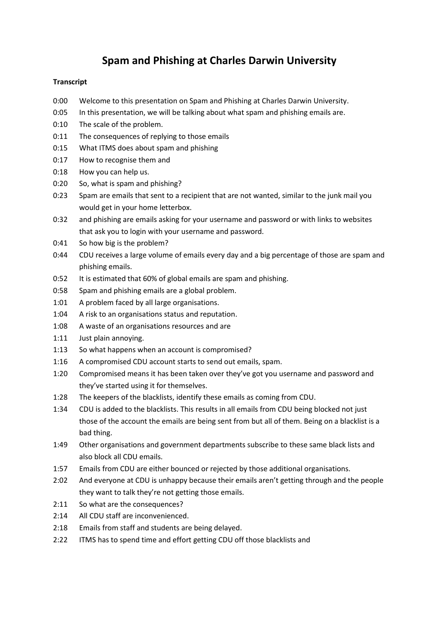## **Spam and Phishing at Charles Darwin University**

## **Transcript**

- 0:00 Welcome to this presentation on Spam and Phishing at Charles Darwin University.
- 0:05 In this presentation, we will be talking about what spam and phishing emails are.
- 0:10 The scale of the problem.
- 0:11 The consequences of replying to those emails
- 0:15 What ITMS does about spam and phishing
- 0:17 How to recognise them and
- 0:18 How you can help us.
- 0:20 So, what is spam and phishing?
- 0:23 Spam are emails that sent to a recipient that are not wanted, similar to the junk mail you would get in your home letterbox.
- 0:32 and phishing are emails asking for your username and password or with links to websites that ask you to login with your username and password.
- 0:41 So how big is the problem?
- 0:44 CDU receives a large volume of emails every day and a big percentage of those are spam and phishing emails.
- 0:52 It is estimated that 60% of global emails are spam and phishing.
- 0:58 Spam and phishing emails are a global problem.
- 1:01 A problem faced by all large organisations.
- 1:04 A risk to an organisations status and reputation.
- 1:08 A waste of an organisations resources and are
- 1:11 Just plain annoying.
- 1:13 So what happens when an account is compromised?
- 1:16 A compromised CDU account starts to send out emails, spam.
- 1:20 Compromised means it has been taken over they've got you username and password and they've started using it for themselves.
- 1:28 The keepers of the blacklists, identify these emails as coming from CDU.
- 1:34 CDU is added to the blacklists. This results in all emails from CDU being blocked not just those of the account the emails are being sent from but all of them. Being on a blacklist is a bad thing.
- 1:49 Other organisations and government departments subscribe to these same black lists and also block all CDU emails.
- 1:57 Emails from CDU are either bounced or rejected by those additional organisations.
- 2:02 And everyone at CDU is unhappy because their emails aren't getting through and the people they want to talk they're not getting those emails.
- 2:11 So what are the consequences?
- 2:14 All CDU staff are inconvenienced.
- 2:18 Emails from staff and students are being delayed.
- 2:22 ITMS has to spend time and effort getting CDU off those blacklists and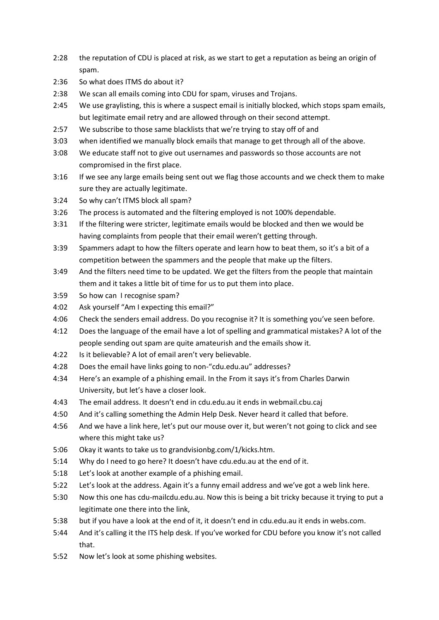- 2:28 the reputation of CDU is placed at risk, as we start to get a reputation as being an origin of spam.
- 2:36 So what does ITMS do about it?
- 2:38 We scan all emails coming into CDU for spam, viruses and Trojans.
- 2:45 We use graylisting, this is where a suspect email is initially blocked, which stops spam emails, but legitimate email retry and are allowed through on their second attempt.
- 2:57 We subscribe to those same blacklists that we're trying to stay off of and
- 3:03 when identified we manually block emails that manage to get through all of the above.
- 3:08 We educate staff not to give out usernames and passwords so those accounts are not compromised in the first place.
- 3:16 If we see any large emails being sent out we flag those accounts and we check them to make sure they are actually legitimate.
- 3:24 So why can't ITMS block all spam?
- 3:26 The process is automated and the filtering employed is not 100% dependable.
- 3:31 If the filtering were stricter, legitimate emails would be blocked and then we would be having complaints from people that their email weren't getting through.
- 3:39 Spammers adapt to how the filters operate and learn how to beat them, so it's a bit of a competition between the spammers and the people that make up the filters.
- 3:49 And the filters need time to be updated. We get the filters from the people that maintain them and it takes a little bit of time for us to put them into place.
- 3:59 So how can I recognise spam?
- 4:02 Ask yourself "Am I expecting this email?"
- 4:06 Check the senders email address. Do you recognise it? It is something you've seen before.
- 4:12 Does the language of the email have a lot of spelling and grammatical mistakes? A lot of the people sending out spam are quite amateurish and the emails show it.
- 4:22 Is it believable? A lot of email aren't very believable.
- 4:28 Does the email have links going to non-"cdu.edu.au" addresses?
- 4:34 Here's an example of a phishing email. In the From it says it's from Charles Darwin University, but let's have a closer look.
- 4:43 The email address. It doesn't end in cdu.edu.au it ends in webmail.cbu.caj
- 4:50 And it's calling something the Admin Help Desk. Never heard it called that before.
- 4:56 And we have a link here, let's put our mouse over it, but weren't not going to click and see where this might take us?
- 5:06 Okay it wants to take us to grandvisionbg.com/1/kicks.htm.
- 5:14 Why do I need to go here? It doesn't have cdu.edu.au at the end of it.
- 5:18 Let's look at another example of a phishing email.
- 5:22 Let's look at the address. Again it's a funny email address and we've got a web link here.
- 5:30 Now this one has cdu-mailcdu.edu.au. Now this is being a bit tricky because it trying to put a legitimate one there into the link,
- 5:38 but if you have a look at the end of it, it doesn't end in cdu.edu.au it ends in webs.com.
- 5:44 And it's calling it the ITS help desk. If you've worked for CDU before you know it's not called that.
- 5:52 Now let's look at some phishing websites.